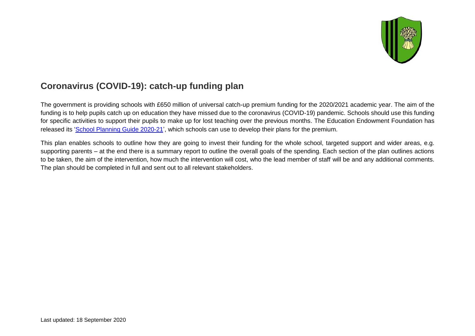

## **Coronavirus (COVID-19): catch-up funding plan**

The government is providing schools with £650 million of universal catch-up premium funding for the 2020/2021 academic year. The aim of the funding is to help pupils catch up on education they have missed due to the coronavirus (COVID-19) pandemic. Schools should use this funding for specific activities to support their pupils to make up for lost teaching over the previous months. The Education Endowment Foundation has released its ['School Planning Guide 2020-21'](https://educationendowmentfoundation.org.uk/covid-19-resources/guide-to-supporting-schools-planning/), which schools can use to develop their plans for the premium.

This plan enables schools to outline how they are going to invest their funding for the whole school, targeted support and wider areas, e.g. supporting parents – at the end there is a summary report to outline the overall goals of the spending. Each section of the plan outlines actions to be taken, the aim of the intervention, how much the intervention will cost, who the lead member of staff will be and any additional comments. The plan should be completed in full and sent out to all relevant stakeholders.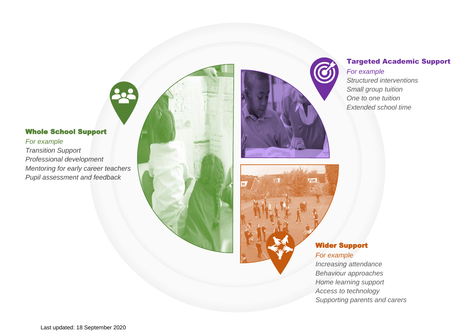#### Whole School Support

*For example Transition Support Professional development Mentoring for early career teachers Pupil assessment and feedback* 





#### Targeted Academic Support *For example*

*Structured interventions Small group tuition One to one tuition Extended school time*

#### Wider Support *For example*

*Increasing attendance Behaviour approaches Home learning support Access to technology Supporting parents and carers*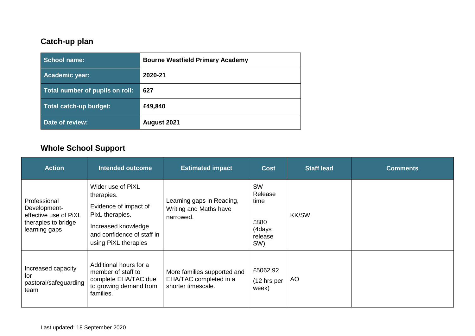## **Catch-up plan**

| <b>School name:</b>             | <b>Bourne Westfield Primary Academy</b> |
|---------------------------------|-----------------------------------------|
| <b>Academic year:</b>           | 2020-21                                 |
| Total number of pupils on roll: | 627                                     |
| Total catch-up budget:          | £49,840                                 |
| Date of review:                 | August 2021                             |

# **Whole School Support**

| <b>Action</b>                                                                                 | <b>Intended outcome</b>                                                                                                                                  | <b>Estimated impact</b>                                                     | <b>Cost</b>                                               | <b>Staff lead</b> | <b>Comments</b> |
|-----------------------------------------------------------------------------------------------|----------------------------------------------------------------------------------------------------------------------------------------------------------|-----------------------------------------------------------------------------|-----------------------------------------------------------|-------------------|-----------------|
| Professional<br>Development-<br>effective use of PiXL<br>therapies to bridge<br>learning gaps | Wider use of PiXL<br>therapies.<br>Evidence of impact of<br>PixL therapies.<br>Increased knowledge<br>and confidence of staff in<br>using PiXL therapies | Learning gaps in Reading,<br>Writing and Maths have<br>narrowed.            | SW<br>Release<br>time<br>£880<br>(4days<br>release<br>SW) | <b>KK/SW</b>      |                 |
| Increased capacity<br>for<br>pastoral/safeguarding<br>team                                    | Additional hours for a<br>member of staff to<br>complete EHA/TAC due<br>to growing demand from<br>families.                                              | More families supported and<br>EHA/TAC completed in a<br>shorter timescale. | £5062.92<br>$(12 \text{ hrs per})$<br>week)               | <b>AO</b>         |                 |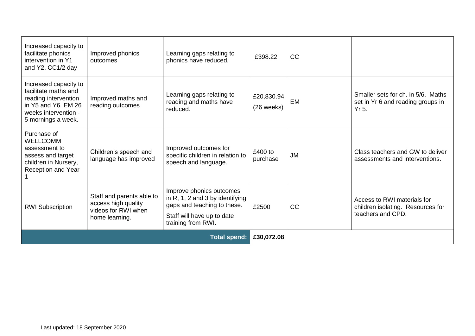| Increased capacity to<br>facilitate phonics<br>intervention in Y1<br>and Y2. CC1/2 day                                                     | Improved phonics<br>outcomes                                                              | Learning gaps relating to<br>phonics have reduced.                                                                                             | £398.22                  | <b>CC</b> |                                                                                       |
|--------------------------------------------------------------------------------------------------------------------------------------------|-------------------------------------------------------------------------------------------|------------------------------------------------------------------------------------------------------------------------------------------------|--------------------------|-----------|---------------------------------------------------------------------------------------|
| Increased capacity to<br>facilitate maths and<br>reading intervention<br>in Y5 and Y6. EM 26<br>weeks intervention -<br>5 mornings a week. | Improved maths and<br>reading outcomes                                                    | Learning gaps relating to<br>reading and maths have<br>reduced.                                                                                | £20,830.94<br>(26 weeks) | EM        | Smaller sets for ch. in 5/6. Maths<br>set in Yr 6 and reading groups in<br>Yr 5.      |
| Purchase of<br><b>WELLCOMM</b><br>assessment to<br>assess and target<br>children in Nursery,<br>Reception and Year                         | Children's speech and<br>language has improved                                            | Improved outcomes for<br>specific children in relation to<br>speech and language.                                                              | £400 to<br>purchase      | <b>JM</b> | Class teachers and GW to deliver<br>assessments and interventions.                    |
| <b>RWI Subscription</b>                                                                                                                    | Staff and parents able to<br>access high quality<br>videos for RWI when<br>home learning. | Improve phonics outcomes<br>in R, 1, 2 and 3 by identifying<br>gaps and teaching to these.<br>Staff will have up to date<br>training from RWI. | £2500                    | CC        | Access to RWI materials for<br>children isolating. Resources for<br>teachers and CPD. |
| <b>Total spend:</b>                                                                                                                        |                                                                                           |                                                                                                                                                | £30,072.08               |           |                                                                                       |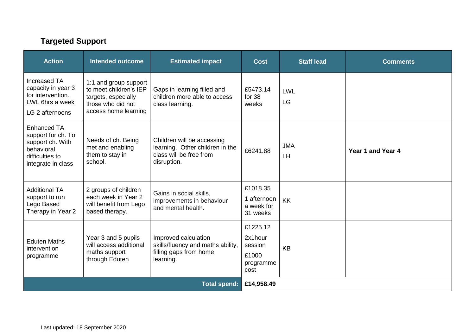## **Targeted Support**

| <b>Action</b>                                                                                                       | <b>Intended outcome</b>                                                                                             | <b>Estimated impact</b>                                                                                 | <b>Cost</b>                                                  | <b>Staff lead</b> | <b>Comments</b>   |
|---------------------------------------------------------------------------------------------------------------------|---------------------------------------------------------------------------------------------------------------------|---------------------------------------------------------------------------------------------------------|--------------------------------------------------------------|-------------------|-------------------|
| Increased TA<br>capacity in year 3<br>for intervention.<br>LWL 6hrs a week<br>LG 2 afternoons                       | 1:1 and group support<br>to meet children's IEP<br>targets, especially<br>those who did not<br>access home learning | Gaps in learning filled and<br>children more able to access<br>class learning.                          | £5473.14<br>for $38$<br>weeks                                | LWL<br>LG         |                   |
| <b>Enhanced TA</b><br>support for ch. To<br>support ch. With<br>behavioral<br>difficulties to<br>integrate in class | Needs of ch. Being<br>met and enabling<br>them to stay in<br>school.                                                | Children will be accessing<br>learning. Other children in the<br>class will be free from<br>disruption. | £6241.88                                                     | <b>JMA</b><br>LH  | Year 1 and Year 4 |
| <b>Additional TA</b><br>support to run<br>Lego Based<br>Therapy in Year 2                                           | 2 groups of children<br>each week in Year 2<br>will benefit from Lego<br>based therapy.                             | Gains in social skills,<br>improvements in behaviour<br>and mental health.                              | £1018.35<br>1 afternoon<br>a week for<br>31 weeks            | <b>KK</b>         |                   |
| <b>Eduten Maths</b><br>intervention<br>programme                                                                    | Year 3 and 5 pupils<br>will access additional<br>maths support<br>through Eduten                                    | Improved calculation<br>skills/fluency and maths ability,<br>filling gaps from home<br>learning.        | £1225.12<br>2x1hour<br>session<br>£1000<br>programme<br>cost | <b>KB</b>         |                   |
| <b>Total spend:</b>                                                                                                 |                                                                                                                     |                                                                                                         | £14,958.49                                                   |                   |                   |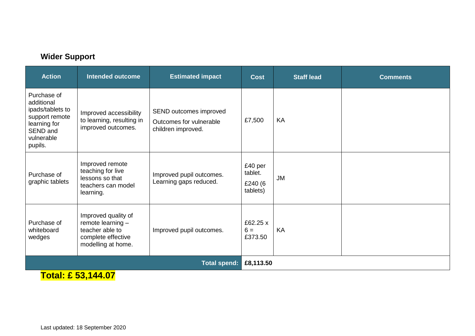#### **Wider Support**

| <b>Action</b>                                                                                                        | <b>Intended outcome</b>                                                                                   | <b>Estimated impact</b>                                                 | <b>Cost</b>                               | <b>Staff lead</b> | <b>Comments</b> |
|----------------------------------------------------------------------------------------------------------------------|-----------------------------------------------------------------------------------------------------------|-------------------------------------------------------------------------|-------------------------------------------|-------------------|-----------------|
| Purchase of<br>additional<br>ipads/tablets to<br>support remote<br>learning for<br>SEND and<br>vulnerable<br>pupils. | Improved accessibility<br>to learning, resulting in<br>improved outcomes.                                 | SEND outcomes improved<br>Outcomes for vulnerable<br>children improved. | £7,500                                    | KA                |                 |
| Purchase of<br>graphic tablets                                                                                       | Improved remote<br>teaching for live<br>lessons so that<br>teachers can model<br>learning.                | Improved pupil outcomes.<br>Learning gaps reduced.                      | £40 per<br>tablet.<br>£240 (6<br>tablets) | JM                |                 |
| Purchase of<br>whiteboard<br>wedges                                                                                  | Improved quality of<br>remote learning $-$<br>teacher able to<br>complete effective<br>modelling at home. | Improved pupil outcomes.                                                | £62.25 x<br>$6 =$<br>£373.50              | KA                |                 |
|                                                                                                                      |                                                                                                           | <b>Total spend:</b>                                                     | £8,113.50                                 |                   |                 |
| 7.1.1 A PA <i>1</i> 1 1 A7                                                                                           |                                                                                                           |                                                                         |                                           |                   |                 |

**Total: £ 53,144.07**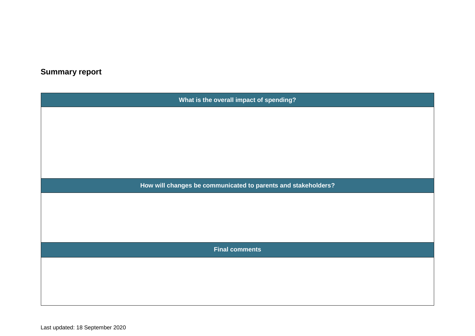## **Summary report**

| What is the overall impact of spending?                       |  |  |  |  |
|---------------------------------------------------------------|--|--|--|--|
|                                                               |  |  |  |  |
|                                                               |  |  |  |  |
|                                                               |  |  |  |  |
|                                                               |  |  |  |  |
|                                                               |  |  |  |  |
| How will changes be communicated to parents and stakeholders? |  |  |  |  |
|                                                               |  |  |  |  |
|                                                               |  |  |  |  |
|                                                               |  |  |  |  |
| <b>Final comments</b>                                         |  |  |  |  |
|                                                               |  |  |  |  |
|                                                               |  |  |  |  |
|                                                               |  |  |  |  |
|                                                               |  |  |  |  |